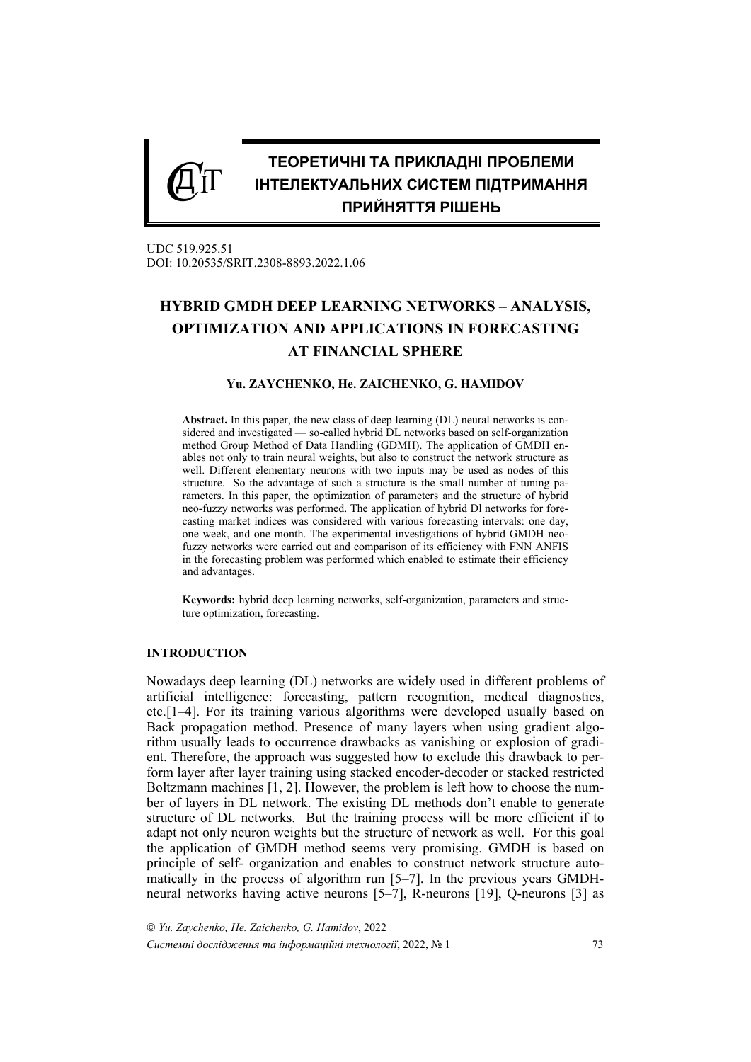

UDC 519.925.51 DOI: 10.20535/SRIT.2308-8893.2022.1.06

# **HYBRID GMDH DEEP LEARNING NETWORKS – ANALYSIS, OPTIMIZATION AND APPLICATIONS IN FORECASTING AT FINANCIAL SPHERE**

### **Yu. ZAYCHENKO, He. ZAICHENKO, G. HAMIDOV**

**Abstract.** In this paper, the new class of deep learning (DL) neural networks is considered and investigated — so-called hybrid DL networks based on self-organization method Group Method of Data Handling (GDMH). The application of GMDH enables not only to train neural weights, but also to construct the network structure as well. Different elementary neurons with two inputs may be used as nodes of this structure. So the advantage of such a structure is the small number of tuning parameters. In this paper, the optimization of parameters and the structure of hybrid neo-fuzzy networks was performed. The application of hybrid Dl networks for forecasting market indices was considered with various forecasting intervals: one day, one week, and one month. The experimental investigations of hybrid GMDH neofuzzy networks were carried out and comparison of its efficiency with FNN ANFIS in the forecasting problem was performed which enabled to estimate their efficiency and advantages.

**Keywords:** hybrid deep learning networks, self-organization, parameters and structure optimization, forecasting.

#### **INTRODUCTION**

Nowadays deep learning (DL) networks are widely used in different problems of artificial intelligence: forecasting, pattern recognition, medical diagnostics, etc.[1–4]. For its training various algorithms were developed usually based on Back propagation method. Presence of many layers when using gradient algorithm usually leads to occurrence drawbacks as vanishing or explosion of gradient. Therefore, the approach was suggested how to exclude this drawback to perform layer after layer training using stacked encoder-decoder or stacked restricted Boltzmann machines [1, 2]. However, the problem is left how to choose the number of layers in DL network. The existing DL methods don't enable to generate structure of DL networks. But the training process will be more efficient if to adapt not only neuron weights but the structure of network as well. For this goal the application of GMDH method seems very promising. GMDH is based on principle of self- organization and enables to construct network structure automatically in the process of algorithm run [5–7]. In the previous years GMDHneural networks having active neurons [5–7], R-neurons [19], Q-neurons [3] as

 *Yu. Zaychenko, He. Zaichenko, G. Hamidov*, 2022 *Системні дослідження та інформаційні технології*, 2022, № 1 73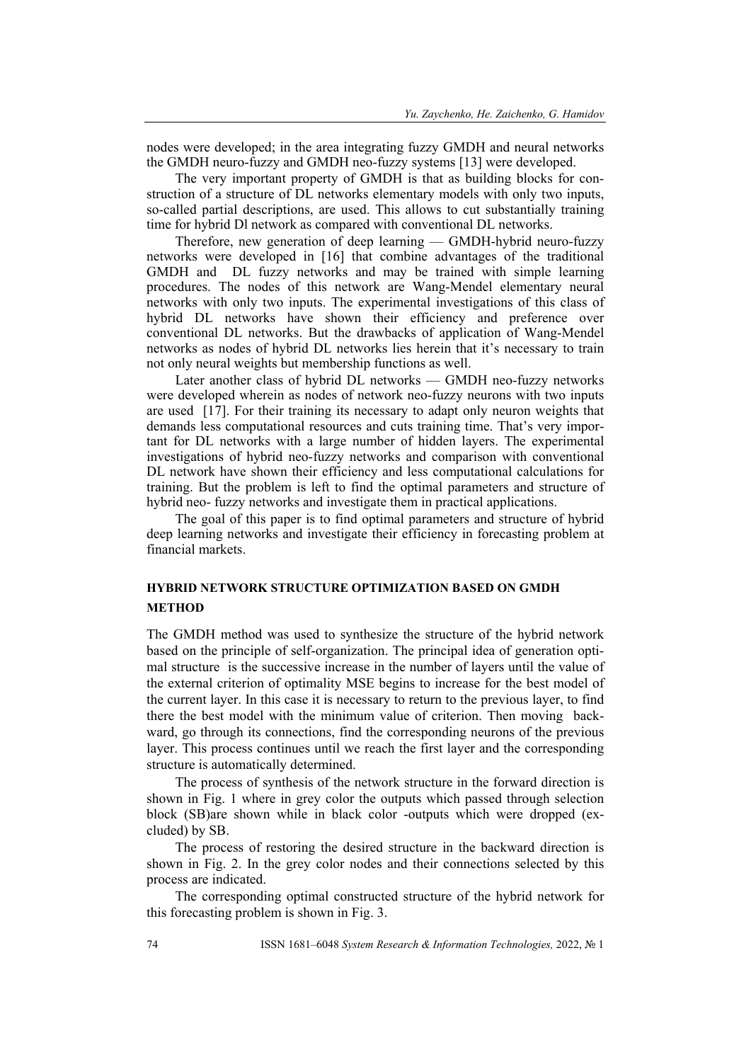nodes were developed; in the area integrating fuzzy GMDH and neural networks the GMDH neuro-fuzzy and GMDH neo-fuzzy systems [13] were developed.

The very important property of GMDH is that as building blocks for construction of a structure of DL networks elementary models with only two inputs, so-called partial descriptions, are used. This allows to cut substantially training time for hybrid Dl network as compared with conventional DL networks.

Therefore, new generation of deep learning — GMDH-hybrid neuro-fuzzy networks were developed in [16] that combine advantages of the traditional GMDH and DL fuzzy networks and may be trained with simple learning procedures. The nodes of this network are Wang-Mendel elementary neural networks with only two inputs. The experimental investigations of this class of hybrid DL networks have shown their efficiency and preference over conventional DL networks. But the drawbacks of application of Wang-Mendel networks as nodes of hybrid DL networks lies herein that it's necessary to train not only neural weights but membership functions as well.

Later another class of hybrid DL networks — GMDH neo-fuzzy networks were developed wherein as nodes of network neo-fuzzy neurons with two inputs are used [17]. For their training its necessary to adapt only neuron weights that demands less computational resources and cuts training time. That's very important for DL networks with a large number of hidden layers. The experimental investigations of hybrid neo-fuzzy networks and comparison with conventional DL network have shown their efficiency and less computational calculations for training. But the problem is left to find the optimal parameters and structure of hybrid neo- fuzzy networks and investigate them in practical applications.

The goal of this paper is to find optimal parameters and structure of hybrid deep learning networks and investigate their efficiency in forecasting problem at financial markets.

# **HYBRID NETWORK STRUCTURE OPTIMIZATION BASED ON GMDH METHOD**

The GMDH method was used to synthesize the structure of the hybrid network based on the principle of self-organization. The principal idea of generation optimal structure is the successive increase in the number of layers until the value of the external criterion of optimality MSE begins to increase for the best model of the current layer. In this case it is necessary to return to the previous layer, to find there the best model with the minimum value of criterion. Then moving backward, go through its connections, find the corresponding neurons of the previous layer. This process continues until we reach the first layer and the corresponding structure is automatically determined.

The process of synthesis of the network structure in the forward direction is shown in Fig. 1 where in grey color the outputs which passed through selection block (SB)are shown while in black color -outputs which were dropped (excluded) by SB.

The process of restoring the desired structure in the backward direction is shown in Fig. 2. In the grey color nodes and their connections selected by this process are indicated.

The corresponding optimal constructed structure of the hybrid network for this forecasting problem is shown in Fig. 3.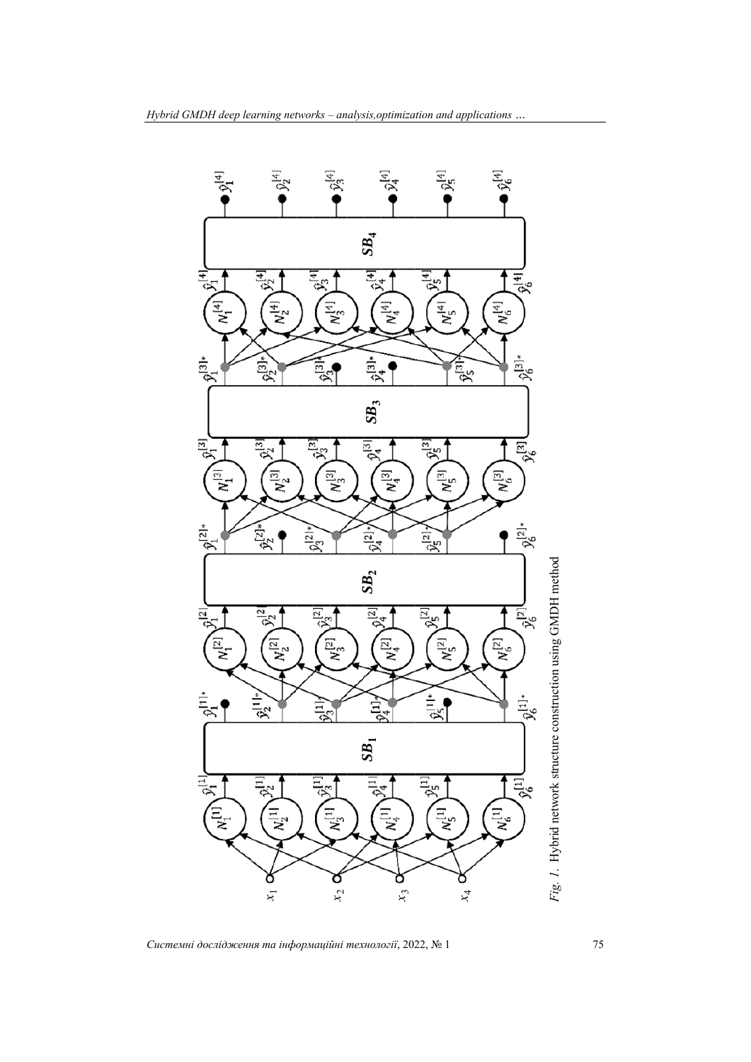

*Системні дослідження та інформаційні технології*, 2022, № 1 75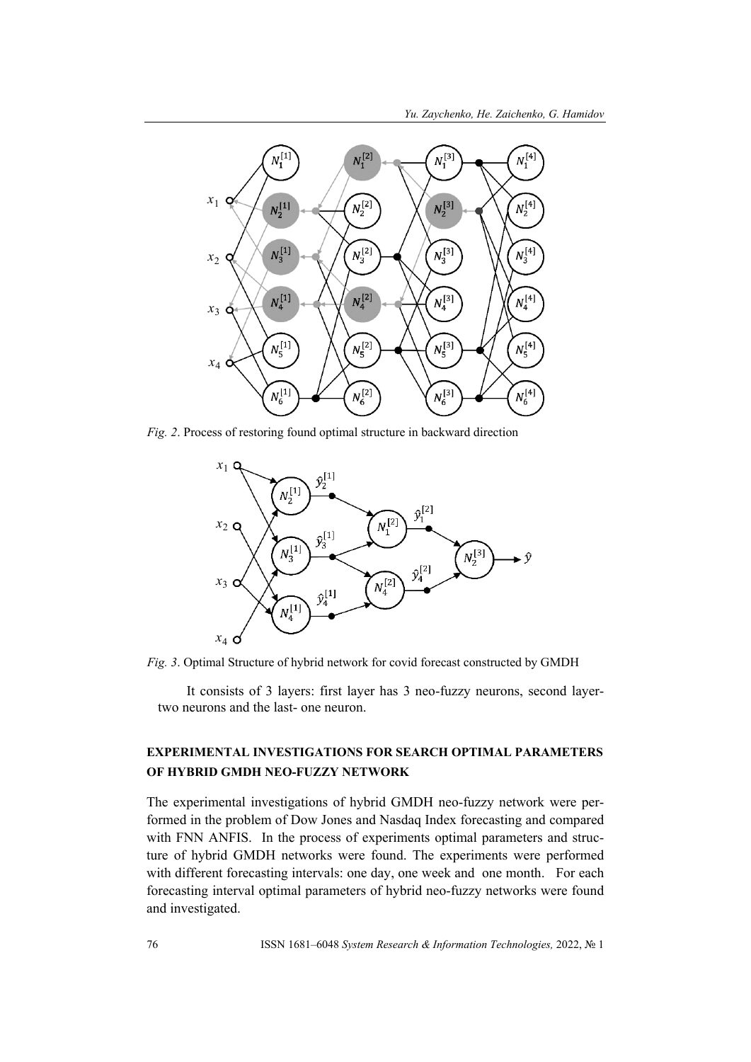

*Fig. 2*. Process of restoring found optimal structure in backward direction



*Fig. 3*. Optimal Structure of hybrid network for covid forecast constructed by GMDH

It consists of 3 layers: first layer has 3 neo-fuzzy neurons, second layertwo neurons and the last- one neuron.

# **EXPERIMENTAL INVESTIGATIONS FOR SEARCH OPTIMAL PARAMETERS OF HYBRID GMDH NEO-FUZZY NETWORK**

The experimental investigations of hybrid GMDH neo-fuzzy network were performed in the problem of Dow Jones and Nasdaq Index forecasting and compared with FNN ANFIS. In the process of experiments optimal parameters and structure of hybrid GMDH networks were found. The experiments were performed with different forecasting intervals: one day, one week and one month. For each forecasting interval optimal parameters of hybrid neo-fuzzy networks were found and investigated.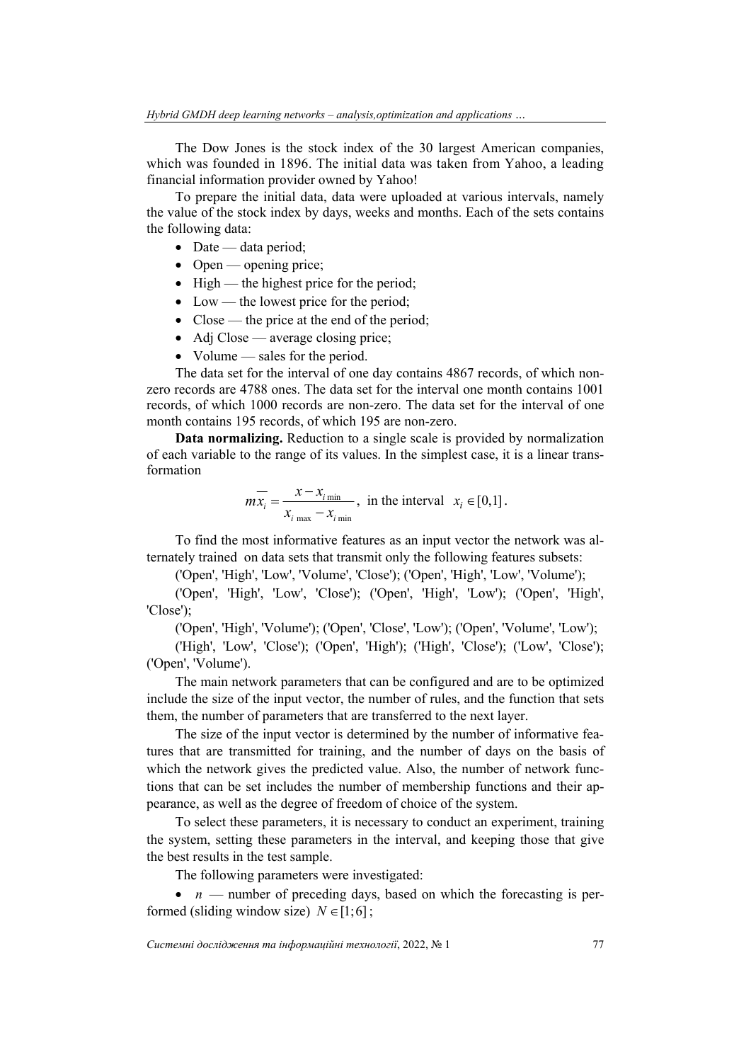The Dow Jones is the stock index of the 30 largest American companies, which was founded in 1896. The initial data was taken from Yahoo, a leading financial information provider owned by Yahoo!

To prepare the initial data, data were uploaded at various intervals, namely the value of the stock index by days, weeks and months. Each of the sets contains the following data:

- $\bullet$  Date data period;
- $\bullet$  Open opening price;
- $\bullet$  High the highest price for the period;
- Low the lowest price for the period;
- Close the price at the end of the period;
- Adj Close average closing price;
- Volume sales for the period.

The data set for the interval of one day contains 4867 records, of which nonzero records are 4788 ones. The data set for the interval one month contains 1001 records, of which 1000 records are non-zero. The data set for the interval of one month contains 195 records, of which 195 are non-zero.

**Data normalizing.** Reduction to a single scale is provided by normalization of each variable to the range of its values. In the simplest case, it is a linear transformation

$$
m\overline{x_i} = \frac{x - x_{i_{\text{min}}}}{x_{i_{\text{max}}} - x_{i_{\text{min}}}}, \text{ in the interval } x_i \in [0,1].
$$

To find the most informative features as an input vector the network was alternately trained on data sets that transmit only the following features subsets:

('Open', 'High', 'Low', 'Volume', 'Close'); ('Open', 'High', 'Low', 'Volume');

('Open', 'High', 'Low', 'Close'); ('Open', 'High', 'Low'); ('Open', 'High', 'Close');

('Open', 'High', 'Volume'); ('Open', 'Close', 'Low'); ('Open', 'Volume', 'Low');

('High', 'Low', 'Close'); ('Open', 'High'); ('High', 'Close'); ('Low', 'Close'); ('Open', 'Volume').

The main network parameters that can be configured and are to be optimized include the size of the input vector, the number of rules, and the function that sets them, the number of parameters that are transferred to the next layer.

The size of the input vector is determined by the number of informative features that are transmitted for training, and the number of days on the basis of which the network gives the predicted value. Also, the number of network functions that can be set includes the number of membership functions and their appearance, as well as the degree of freedom of choice of the system.

To select these parameters, it is necessary to conduct an experiment, training the system, setting these parameters in the interval, and keeping those that give the best results in the test sample.

The following parameters were investigated:

•  $n$  — number of preceding days, based on which the forecasting is performed (sliding window size)  $N \in [1;6]$ ;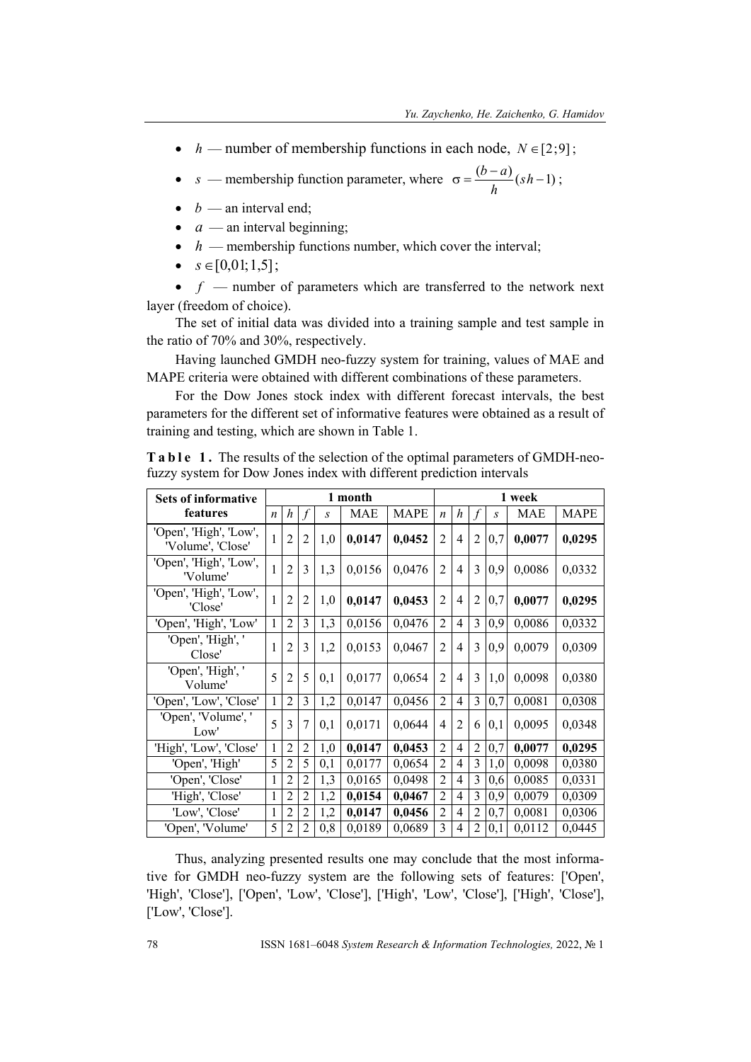- $h$  number of membership functions in each node,  $N \in [2, 9]$ ;
- *s* membership function parameter, where  $\sigma = \frac{(b-a)}{1} (sh-1)$ *h*  $\frac{(b-a)}{(sh-1)}$ ;
- $\bullet$  *b* an interval end;
- $\bullet$  *a* an interval beginning;
- $\bullet$  *h* membership functions number, which cover the interval;
- $s \in [0,01;1,5]$ ;

 $\bullet$  *f* — number of parameters which are transferred to the network next layer (freedom of choice).

The set of initial data was divided into a training sample and test sample in the ratio of 70% and 30%, respectively.

Having launched GMDH neo-fuzzy system for training, values of MAE and MAPE criteria were obtained with different combinations of these parameters.

For the Dow Jones stock index with different forecast intervals, the best parameters for the different set of informative features were obtained as a result of training and testing, which are shown in Table 1.

| <b>Sets of informative</b>                  |                  | 1 month        |                |               |            | 1 week      |                  |                |                |     |            |             |
|---------------------------------------------|------------------|----------------|----------------|---------------|------------|-------------|------------------|----------------|----------------|-----|------------|-------------|
| features                                    | $\boldsymbol{n}$ | h              | f              | $\mathcal{S}$ | <b>MAE</b> | <b>MAPE</b> | $\boldsymbol{n}$ | h              | f              | S   | <b>MAE</b> | <b>MAPE</b> |
| 'Open', 'High', 'Low',<br>'Volume', 'Close' |                  | 2              | $\overline{2}$ | 1,0           | 0,0147     | 0,0452      | $\overline{2}$   | $\overline{4}$ | $\overline{2}$ | 0,7 | 0,0077     | 0,0295      |
| 'Open', 'High', 'Low',<br>'Volume'          |                  | $\overline{2}$ | 3              | 1,3           | 0,0156     | 0,0476      | $\overline{2}$   | $\overline{4}$ | 3              | 0,9 | 0,0086     | 0,0332      |
| 'Open', 'High', 'Low',<br>'Close'           |                  | $\overline{2}$ | $\overline{2}$ | 1,0           | 0,0147     | 0,0453      | $\overline{2}$   | $\overline{4}$ | $\overline{2}$ | 0,7 | 0,0077     | 0,0295      |
| 'Open', 'High', 'Low'                       | 1                | $\overline{2}$ | 3              | 1,3           | 0,0156     | 0,0476      | $\overline{2}$   | 4              | 3              | 0,9 | 0,0086     | 0,0332      |
| 'Open', 'High', '<br>Close'                 |                  | 2              | 3              | 1,2           | 0,0153     | 0,0467      | $\overline{2}$   | $\overline{4}$ | 3              | 0,9 | 0,0079     | 0,0309      |
| 'Open', 'High', '<br>Volume'                | 5                | 2              | 5              | 0,1           | 0,0177     | 0,0654      | $\overline{2}$   | $\overline{4}$ | 3              | 1,0 | 0,0098     | 0,0380      |
| 'Open', 'Low', 'Close'                      | 1                | $\overline{2}$ | 3              | 1,2           | 0,0147     | 0,0456      | $\overline{2}$   | $\overline{4}$ | 3              | 0,7 | 0,0081     | 0,0308      |
| 'Open', 'Volume', '<br>Low'                 | 5                | 3              | 7              | 0.1           | 0,0171     | 0,0644      | 4                | $\overline{2}$ | 6              | 0.1 | 0,0095     | 0,0348      |
| 'High', 'Low', 'Close'                      | 1                | $\overline{2}$ | $\overline{2}$ | 1,0           | 0,0147     | 0,0453      | $\overline{2}$   | $\overline{4}$ | $\overline{2}$ | 0,7 | 0,0077     | 0,0295      |
| 'Open', 'High'                              | 5                | 2              | 5              | 0,1           | 0,0177     | 0,0654      | $\overline{2}$   | $\overline{4}$ | 3              | 1,0 | 0,0098     | 0,0380      |
| 'Open', 'Close'                             | 1                | 2              | $\overline{2}$ | 1,3           | 0,0165     | 0,0498      | $\overline{2}$   | 4              | 3              | 0,6 | 0,0085     | 0,0331      |
| 'High', 'Close'                             | 1                | $\overline{c}$ | $\overline{2}$ | 1,2           | 0,0154     | 0,0467      | $\overline{2}$   | $\overline{4}$ | 3              | 0,9 | 0,0079     | 0,0309      |
| 'Low', 'Close'                              | 1                | $\overline{2}$ | $\overline{2}$ | 1,2           | 0,0147     | 0,0456      | $\overline{2}$   | $\overline{4}$ | $\overline{2}$ | 0,7 | 0,0081     | 0,0306      |
| 'Open', 'Volume'                            | 5                | 2              | $\overline{2}$ | 0, 8          | 0,0189     | 0,0689      | 3                | 4              | $\overline{2}$ | 0,1 | 0,0112     | 0,0445      |

**Table 1.** The results of the selection of the optimal parameters of GMDH-neofuzzy system for Dow Jones index with different prediction intervals

Thus, analyzing presented results one may conclude that the most informative for GMDH neo-fuzzy system are the following sets of features: ['Open', 'High', 'Close'], ['Open', 'Low', 'Close'], ['High', 'Low', 'Close'], ['High', 'Close'], ['Low', 'Close'].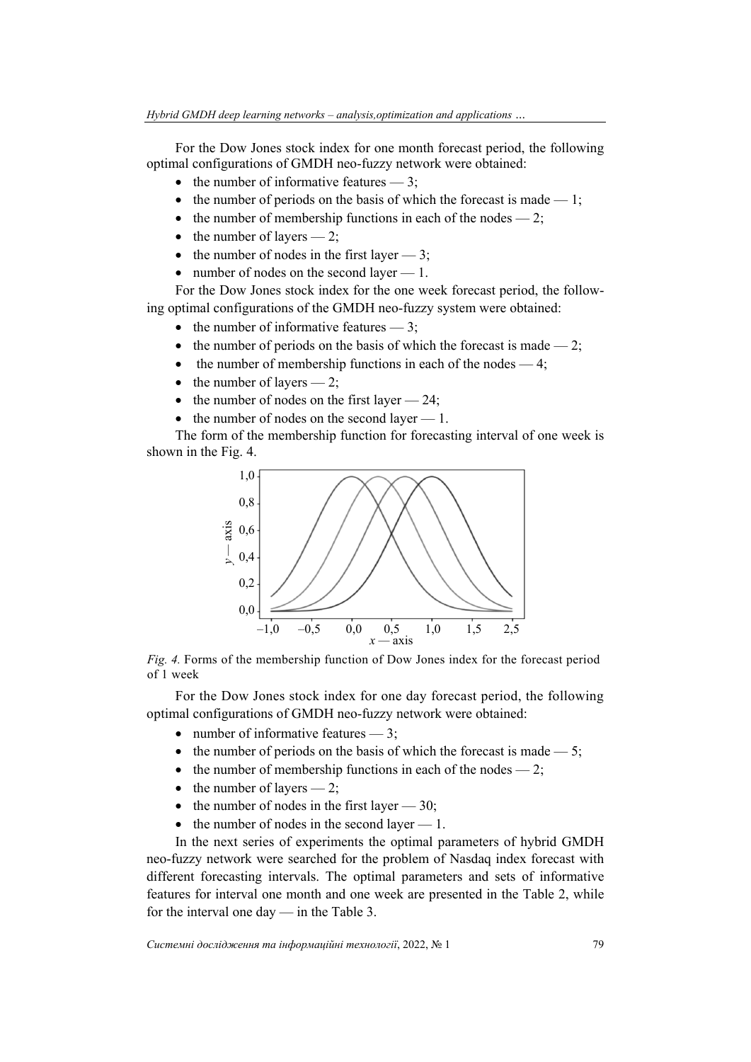For the Dow Jones stock index for one month forecast period, the following optimal configurations of GMDH neo-fuzzy network were obtained:

- the number of informative features  $-3$ ;
- the number of periods on the basis of which the forecast is made  $-1$ ;
- the number of membership functions in each of the nodes  $-2$ ;
- $\bullet$  the number of layers  $-2$ ;
- the number of nodes in the first layer  $-3$ ;
- number of nodes on the second layer  $-1$ .

For the Dow Jones stock index for the one week forecast period, the following optimal configurations of the GMDH neo-fuzzy system were obtained:

- the number of informative features  $-3$ ;
- the number of periods on the basis of which the forecast is made  $-2$ ;
- the number of membership functions in each of the nodes  $-4$ ;
- $\bullet$  the number of layers  $-2$ ;
- the number of nodes on the first layer  $-24$ ;
- $\bullet$  the number of nodes on the second layer  $-1$ .

The form of the membership function for forecasting interval of one week is shown in the Fig. 4.



*Fig. 4.* Forms of the membership function of Dow Jones index for the forecast period of 1 week

For the Dow Jones stock index for one day forecast period, the following optimal configurations of GMDH neo-fuzzy network were obtained:

- number of informative features  $-3$ ;
- the number of periods on the basis of which the forecast is made  $-5$ ;
- the number of membership functions in each of the nodes  $-2$ ;
- $\bullet$  the number of layers 2;
- $\bullet$  the number of nodes in the first layer  $-30$ ;
- $\bullet$  the number of nodes in the second layer  $-1$ .

In the next series of experiments the optimal parameters of hybrid GMDH neo-fuzzy network were searched for the problem of Nasdaq index forecast with different forecasting intervals. The optimal parameters and sets of informative features for interval one month and one week are presented in the Table 2, while for the interval one day — in the Table 3.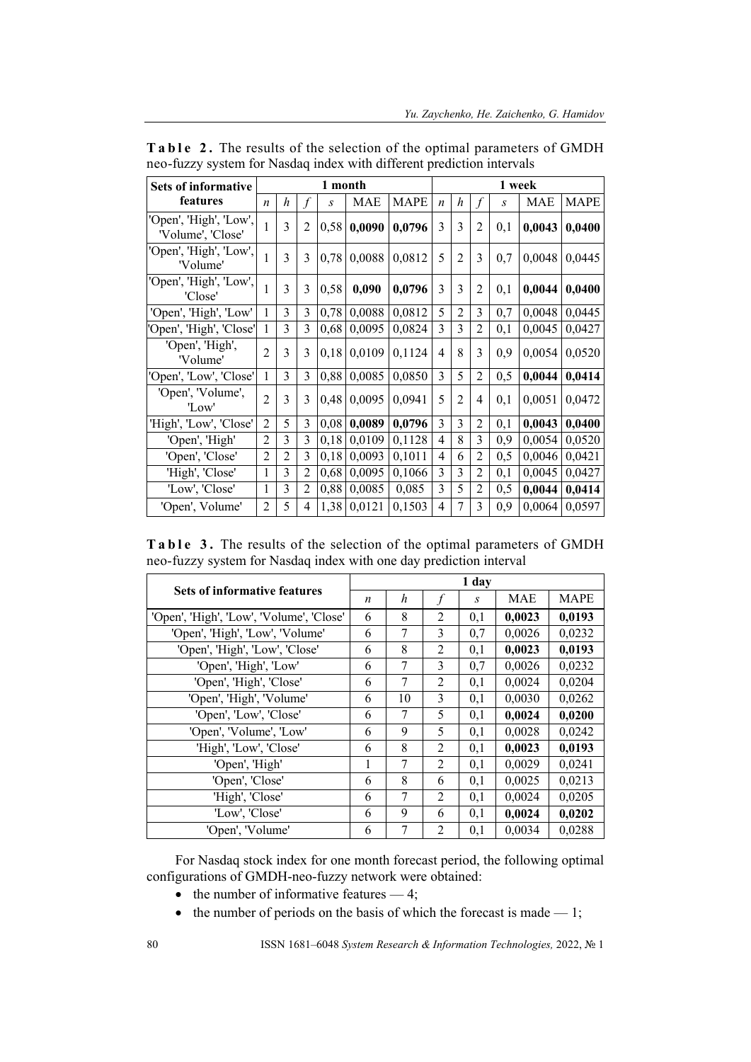| <b>Sets of informative</b>                  | 1 month          |   |                | 1 week |        |             |                  |                |                |                  |        |             |
|---------------------------------------------|------------------|---|----------------|--------|--------|-------------|------------------|----------------|----------------|------------------|--------|-------------|
| features                                    | $\boldsymbol{n}$ | h | f              | S      | MAE    | <b>MAPE</b> | $\boldsymbol{n}$ | h              | $\int$         | $\boldsymbol{S}$ | MAE    | <b>MAPE</b> |
| 'Open', 'High', 'Low',<br>'Volume', 'Close' |                  | 3 | $\overline{2}$ | 0,58   | 0,0090 | 0,0796      | $\overline{3}$   | 3              | 2              | 0,1              | 0,0043 | 0,0400      |
| 'Open', 'High', 'Low',<br>'Volume'          |                  | 3 | 3              | 0,78   | 0,0088 | 0,0812      | 5                | $\overline{2}$ | 3              | 0,7              | 0,0048 | 0,0445      |
| 'Open', 'High', 'Low',<br>'Close'           |                  | 3 | 3              | 0,58   | 0,090  | 0,0796      | $\overline{3}$   | 3              | $\overline{2}$ | 0.1              | 0,0044 | 0,0400      |
| 'Open', 'High', 'Low'                       | 1                | 3 | 3              | 0,78   | 0,0088 | 0,0812      | 5                | $\overline{2}$ | 3              | 0,7              | 0,0048 | 0,0445      |
| 'Open', 'High', 'Close'                     | 1                | 3 | 3              | 0,68   | 0,0095 | 0,0824      | $\overline{3}$   | 3              | 2              | 0,1              | 0,0045 | 0,0427      |
| 'Open', 'High',<br>'Volume'                 | $\overline{2}$   | 3 | 3              | 0,18   | 0,0109 | 0,1124      | $\overline{4}$   | 8              | 3              | 0,9              | 0,0054 | 0,0520      |
| 'Open', 'Low', 'Close'                      | $\mathbf{1}$     | 3 | 3              | 0,88   | 0,0085 | 0,0850      | 3                | 5              | $\overline{2}$ | 0,5              | 0,0044 | 0,0414      |
| 'Open', 'Volume',<br>'Low'                  | $\overline{2}$   | 3 | 3              | 0,48   | 0,0095 | 0.0941      | 5                | $\overline{2}$ | $\overline{4}$ | 0.1              | 0,0051 | 0,0472      |
| 'High', 'Low', 'Close'                      | $\overline{2}$   | 5 | 3              | 0,08   | 0,0089 | 0,0796      | 3                | 3              | $\overline{2}$ | 0,1              | 0,0043 | 0,0400      |
| 'Open', 'High'                              | $\overline{c}$   | 3 | 3              | 0,18   | 0,0109 | 0,1128      | 4                | 8              | 3              | 0,9              | 0,0054 | 0,0520      |
| 'Open', 'Close'                             | $\overline{2}$   | 2 | 3              | 0,18   | 0,0093 | 0,1011      | 4                | 6              | $\overline{2}$ | 0,5              | 0,0046 | 0,0421      |
| 'High', 'Close'                             | 1                | 3 | $\overline{2}$ | 0,68   | 0,0095 | 0,1066      | 3                | 3              | $\overline{2}$ | 0,1              | 0,0045 | 0,0427      |
| 'Low', 'Close'                              | 1                | 3 | $\overline{2}$ | 0,88   | 0,0085 | 0,085       | 3                | 5              | $\overline{2}$ | 0,5              | 0,0044 | 0,0414      |
| 'Open', Volume'                             | 2                | 5 | $\overline{4}$ | 1,38   | 0,0121 | 0,1503      | $\overline{4}$   | 7              | 3              | 0,9              | 0,0064 | 0,0597      |

**Table 2.** The results of the selection of the optimal parameters of GMDH neo-fuzzy system for Nasdaq index with different prediction intervals

|  | <b>Table 3.</b> The results of the selection of the optimal parameters of GMDH |  |
|--|--------------------------------------------------------------------------------|--|
|  | neo-fuzzy system for Nasdaq index with one day prediction interval             |  |

| <b>Sets of informative features</b>      |   |    |                | 1 day         |        |             |
|------------------------------------------|---|----|----------------|---------------|--------|-------------|
|                                          |   | h  | $\int$         | $\mathcal{S}$ | MAE    | <b>MAPE</b> |
| 'Open', 'High', 'Low', 'Volume', 'Close' | 6 | 8  | 2              | 0,1           | 0,0023 | 0,0193      |
| 'Open', 'High', 'Low', 'Volume'          | 6 | 7  | 3              | 0,7           | 0,0026 | 0,0232      |
| 'Open', 'High', 'Low', 'Close'           | 6 | 8  | 2              | 0,1           | 0,0023 | 0,0193      |
| 'Open', 'High', 'Low'                    | 6 | 7  | 3              | 0,7           | 0,0026 | 0,0232      |
| 'Open', 'High', 'Close'                  | 6 | 7  | 2              | 0,1           | 0,0024 | 0,0204      |
| 'Open', 'High', 'Volume'                 | 6 | 10 | 3              | 0,1           | 0,0030 | 0,0262      |
| 'Open', 'Low', 'Close'                   | 6 | 7  | 5              | 0,1           | 0,0024 | 0,0200      |
| 'Open', 'Volume', 'Low'                  | 6 | 9  | 5              | 0,1           | 0,0028 | 0,0242      |
| 'High', 'Low', 'Close'                   | 6 | 8  | $\overline{c}$ | 0,1           | 0,0023 | 0,0193      |
| 'Open', 'High'                           | 1 | 7  | $\overline{2}$ | 0,1           | 0,0029 | 0,0241      |
| 'Open', 'Close'                          | 6 | 8  | 6              | 0,1           | 0,0025 | 0,0213      |
| 'High', 'Close'                          | 6 | 7  | $\overline{2}$ | 0,1           | 0,0024 | 0,0205      |
| 'Low', 'Close'                           | 6 | 9  | 6              | 0,1           | 0,0024 | 0,0202      |
| 'Open', 'Volume'                         | 6 | 7  | $\overline{2}$ | 0,1           | 0,0034 | 0,0288      |

For Nasdaq stock index for one month forecast period, the following optimal configurations of GMDH-neo-fuzzy network were obtained:

- $\bullet$  the number of informative features  $-4$ ;
- the number of periods on the basis of which the forecast is made  $-1$ ;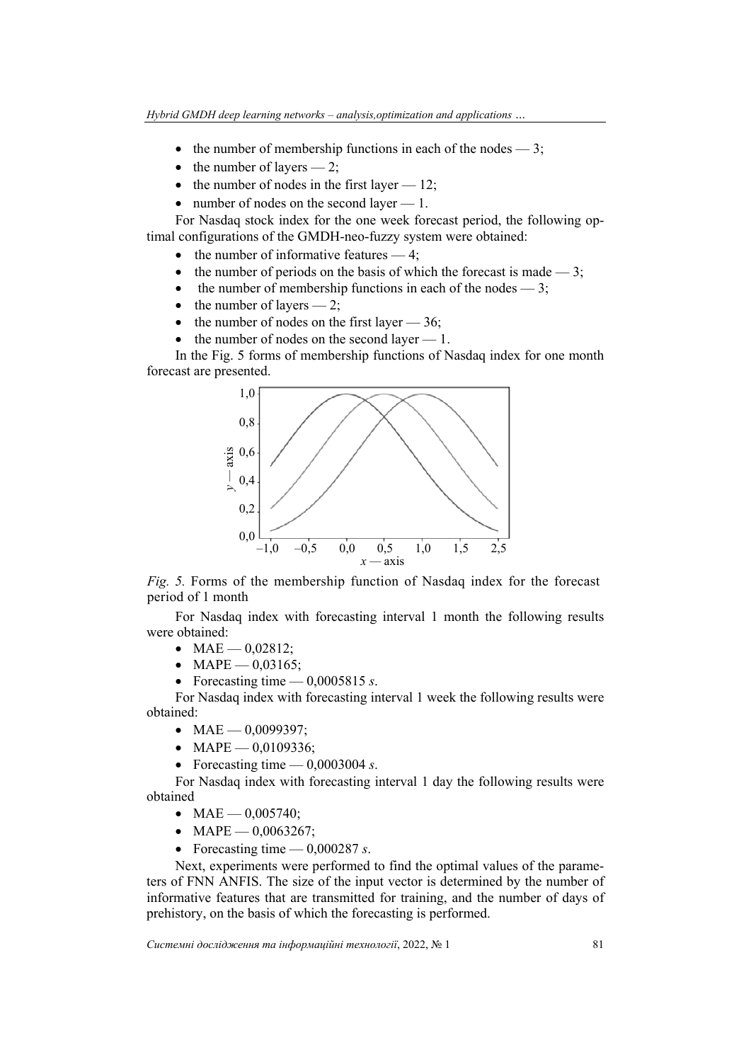- the number of membership functions in each of the nodes  $-3$ ;
- $\bullet$  the number of layers  $-2$ ;
- $\bullet$  the number of nodes in the first layer  $-12$ ;
- number of nodes on the second layer 1.

For Nasdaq stock index for the one week forecast period, the following optimal configurations of the GMDH-neo-fuzzy system were obtained:

- $\bullet$  the number of informative features  $-4$ ;
- the number of periods on the basis of which the forecast is made  $-3$ ;
- the number of membership functions in each of the nodes  $-3$ ;
- $\bullet$  the number of layers 2;
- the number of nodes on the first layer  $-36$ ;
- $\bullet$  the number of nodes on the second layer  $-1$ .

In the Fig. 5 forms of membership functions of Nasdaq index for one month forecast are presented.



*Fig. 5.* Forms of the membership function of Nasdaq index for the forecast period of 1 month

For Nasdaq index with forecasting interval 1 month the following results were obtained:

- $MAE 0.02812$ ;
- MAPE  $0.03165$ ;
- Forecasting time  $-$  0,0005815 *s*.

For Nasdaq index with forecasting interval 1 week the following results were obtained:

- $MAE$  0,0099397;
- MAPE  $0,0109336;$
- Forecasting time  $-$  0,0003004 *s*.

For Nasdaq index with forecasting interval 1 day the following results were obtained

- $MAE 0.005740$ :
- $MAPE 0,0063267;$
- Forecasting time  $-$  0,000287 *s*.

Next, experiments were performed to find the optimal values of the parameters of FNN ANFIS. The size of the input vector is determined by the number of informative features that are transmitted for training, and the number of days of prehistory, on the basis of which the forecasting is performed.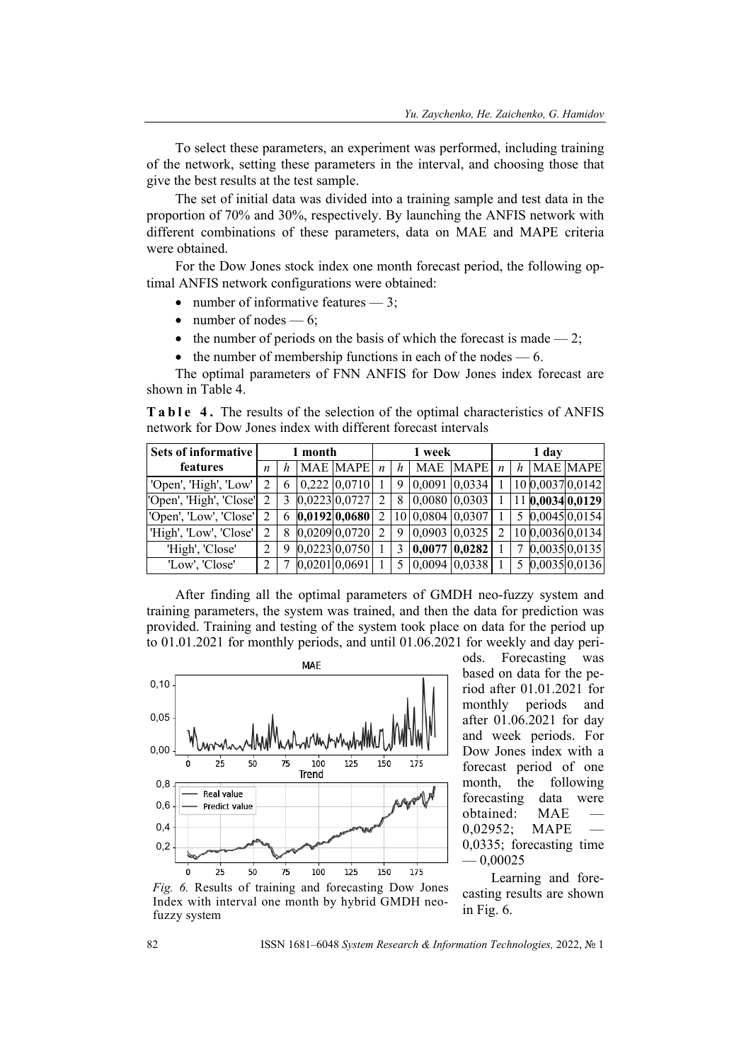To select these parameters, an experiment was performed, including training of the network, setting these parameters in the interval, and choosing those that give the best results at the test sample.

The set of initial data was divided into a training sample and test data in the proportion of 70% and 30%, respectively. By launching the ANFIS network with different combinations of these parameters, data on MAE and MAPE criteria were obtained.

For the Dow Jones stock index one month forecast period, the following optimal ANFIS network configurations were obtained:

- number of informative features  $-3$ ;
- $\bullet$  number of nodes  $-6$ ;
- the number of periods on the basis of which the forecast is made  $-2$ ;
- $\bullet$  the number of membership functions in each of the nodes 6.

The optimal parameters of FNN ANFIS for Dow Jones index forecast are shown in Table 4.

**Table 4.** The results of the selection of the optimal characteristics of ANFIS network for Dow Jones index with different forecast intervals

| Sets of informative     |                  |   | 1 month |                 |                  |   | 1 week     |                     |   |   | 1 day |                  |
|-------------------------|------------------|---|---------|-----------------|------------------|---|------------|---------------------|---|---|-------|------------------|
| features                | $\boldsymbol{n}$ |   |         | <b>MAE MAPE</b> | $\boldsymbol{n}$ | h | <b>MAE</b> | MAPE $\mid n \mid$  |   | h |       | <b>MAE MAPE</b>  |
| 'Open', 'High', 'Low'   |                  | 6 |         | $0,222$ 0.0710  |                  |   |            | 9   0,0091   0,0334 |   |   |       | 10 0,0037 0,0142 |
| 'Open', 'High', 'Close' |                  | 3 |         | $0,0223$ 0,0727 |                  |   |            | 8 0,0080 0,0303     |   |   |       | 11 0,0034 0,0129 |
| 'Open', 'Low', 'Close'  |                  |   |         | 6 0,0192 0,0680 |                  |   |            | 10 0,0804 0,0307    |   |   |       | 5 0,0045 0,0154  |
| 'High', 'Low', 'Close'  |                  | 8 |         | $0,0209$ 0,0720 |                  | 9 |            | $0,0903$ $0,0325$   | 2 |   |       | 10 0,0036 0,0134 |
| 'High', 'Close'         |                  | 9 |         | $0,0223$ 0,0750 |                  |   | 0,0077     | 0,0282              |   |   |       | 0,00350,0135     |
| 'Low', 'Close'          |                  |   |         | 0,0201 0,0691   |                  |   |            | 5   0,0094   0,0338 |   |   |       | 5 0,0035 0,0136  |

After finding all the optimal parameters of GMDH neo-fuzzy system and training parameters, the system was trained, and then the data for prediction was provided. Training and testing of the system took place on data for the period up to 01.01.2021 for monthly periods, and until 01.06.2021 for weekly and day peri-



ods. Forecasting was based on data for the period after 01.01.2021 for monthly periods and after 01.06.2021 for day and week periods. For Dow Jones index with a forecast period of one month, the following forecasting data were obtained: MAE 0,02952; MAPE 0,0335; forecasting time  $-0.00025$ 

Learning and forecasting results are shown in Fig. 6.

*Fig. 6.* Results of training and forecasting Dow Jones Index with interval one month by hybrid GMDH neofuzzy system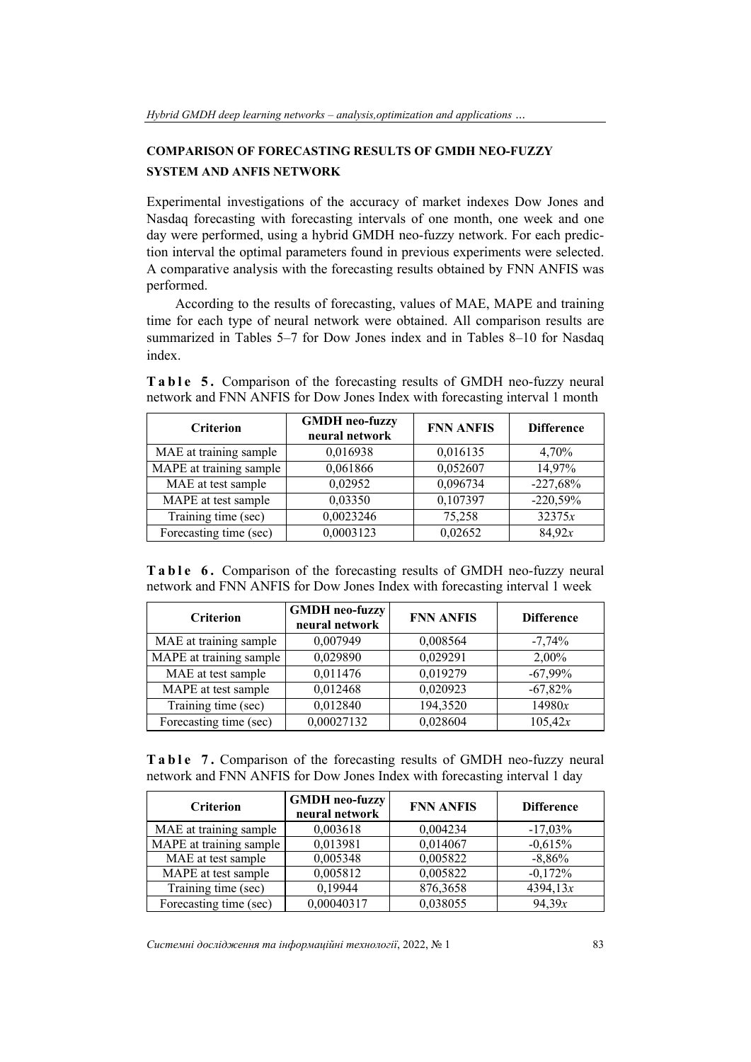# **COMPARISON OF FORECASTING RESULTS OF GMDH NEO-FUZZY SYSTEM AND ANFIS NETWORK**

Experimental investigations of the accuracy of market indexes Dow Jones and Nasdaq forecasting with forecasting intervals of one month, one week and one day were performed, using a hybrid GMDH neo-fuzzy network. For each prediction interval the optimal parameters found in previous experiments were selected. A comparative analysis with the forecasting results obtained by FNN ANFIS was performed.

According to the results of forecasting, values of MAE, MAPE and training time for each type of neural network were obtained. All comparison results are summarized in Tables 5–7 for Dow Jones index and in Tables 8–10 for Nasdaq index.

| network and Pinn Antris for Dow Jones midex with forecasting interval Finonum |                                         |                  |                   |  |  |  |  |
|-------------------------------------------------------------------------------|-----------------------------------------|------------------|-------------------|--|--|--|--|
| <b>Criterion</b>                                                              | <b>GMDH</b> neo-fuzzy<br>neural network | <b>FNN ANFIS</b> | <b>Difference</b> |  |  |  |  |
| MAE at training sample                                                        | 0,016938                                | 0,016135         | 4,70%             |  |  |  |  |
| MAPE at training sample                                                       | 0,061866                                | 0,052607         | 14,97%            |  |  |  |  |
| MAE at test sample                                                            | 0,02952                                 | 0,096734         | $-227,68%$        |  |  |  |  |
| MAPE at test sample                                                           | 0,03350                                 | 0,107397         | $-220,59%$        |  |  |  |  |
| Training time (sec)                                                           | 0,0023246                               | 75,258           | 32375x            |  |  |  |  |

**Table 5.** Comparison of the forecasting results of GMDH neo-fuzzy neural network and FNN ANFIS for Dow Jones Index with forecasting interval 1 month

**Table 6.** Comparison of the forecasting results of GMDH neo-fuzzy neural network and FNN ANFIS for Dow Jones Index with forecasting interval 1 week

Forecasting time (sec) 0,0003123 0,02652 84,92*x* 

| <b>Criterion</b>        | <b>GMDH</b> neo-fuzzy<br>neural network | <b>FNN ANFIS</b> | <b>Difference</b> |
|-------------------------|-----------------------------------------|------------------|-------------------|
| MAE at training sample  | 0,007949                                | 0,008564         | $-7,74%$          |
| MAPE at training sample | 0,029890                                | 0,029291         | 2,00%             |
| MAE at test sample      | 0,011476                                | 0,019279         | $-67,99\%$        |
| MAPE at test sample     | 0,012468                                | 0,020923         | $-67,82%$         |
| Training time (sec)     | 0,012840                                | 194,3520         | 14980x            |
| Forecasting time (sec)  | 0,00027132                              | 0,028604         | 105,42x           |

**Table 7.** Comparison of the forecasting results of GMDH neo-fuzzy neural network and FNN ANFIS for Dow Jones Index with forecasting interval 1 day

| <b>Criterion</b>        | <b>GMDH</b> neo-fuzzy<br>neural network | <b>FNN ANFIS</b> | <b>Difference</b> |
|-------------------------|-----------------------------------------|------------------|-------------------|
| MAE at training sample  | 0,003618                                | 0,004234         | $-17,03\%$        |
| MAPE at training sample | 0,013981                                | 0,014067         | $-0.615%$         |
| MAE at test sample      | 0,005348                                | 0,005822         | $-8,86%$          |
| MAPE at test sample     | 0,005812                                | 0,005822         | $-0,172%$         |
| Training time (sec)     | 0,19944                                 | 876,3658         | 4394, 13x         |
| Forecasting time (sec)  | 0,00040317                              | 0,038055         | 94,39x            |

*Системні дослідження та інформаційні технології*, 2022, № 1 83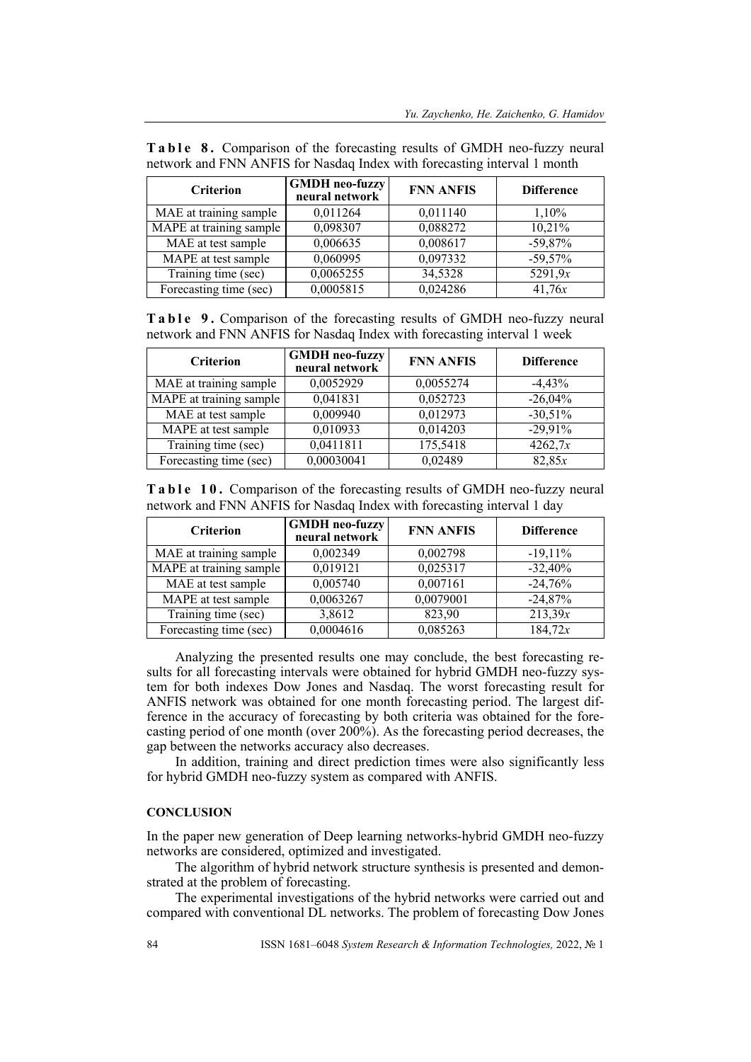| <b>Criterion</b>        | <b>GMDH</b> neo-fuzzy<br>neural network | <b>FNN ANFIS</b> | <b>Difference</b> |
|-------------------------|-----------------------------------------|------------------|-------------------|
| MAE at training sample  | 0,011264                                | 0,011140         | 1,10%             |
| MAPE at training sample | 0,098307                                | 0,088272         | 10,21%            |
| MAE at test sample      | 0,006635                                | 0,008617         | $-59,87%$         |
| MAPE at test sample     | 0,060995                                | 0,097332         | $-59,57%$         |
| Training time (sec)     | 0,0065255                               | 34,5328          | 5291,9x           |
| Forecasting time (sec)  | 0,0005815                               | 0,024286         | 41,76x            |

**Table 8.** Comparison of the forecasting results of GMDH neo-fuzzy neural network and FNN ANFIS for Nasdaq Index with forecasting interval 1 month

**Table 9.** Comparison of the forecasting results of GMDH neo-fuzzy neural network and FNN ANFIS for Nasdaq Index with forecasting interval 1 week

| <b>Criterion</b>        | <b>GMDH</b> neo-fuzzy<br>neural network | <b>FNN ANFIS</b> | <b>Difference</b> |
|-------------------------|-----------------------------------------|------------------|-------------------|
| MAE at training sample  | 0,0052929                               | 0,0055274        | $-4,43%$          |
| MAPE at training sample | 0,041831                                | 0,052723         | $-26,04%$         |
| MAE at test sample      | 0,009940                                | 0,012973         | $-30,51%$         |
| MAPE at test sample     | 0,010933                                | 0,014203         | $-29,91%$         |
| Training time (sec)     | 0,0411811                               | 175,5418         | 4262,7x           |
| Forecasting time (sec)  | 0,00030041                              | 0,02489          | 82,85x            |

**Table 10.** Comparison of the forecasting results of GMDH neo-fuzzy neural network and FNN ANFIS for Nasdaq Index with forecasting interval 1 day

| <b>Criterion</b>        | <b>GMDH</b> neo-fuzzy<br>neural network | <b>FNN ANFIS</b> | <b>Difference</b> |
|-------------------------|-----------------------------------------|------------------|-------------------|
| MAE at training sample  | 0,002349                                | 0,002798         | $-19,11%$         |
| MAPE at training sample | 0,019121                                | 0,025317         | $-32,40%$         |
| MAE at test sample      | 0,005740                                | 0,007161         | $-24,76%$         |
| MAPE at test sample     | 0,0063267                               | 0,0079001        | $-24,87%$         |
| Training time (sec)     | 3,8612                                  | 823,90           | 213,39x           |
| Forecasting time (sec)  | 0,0004616                               | 0,085263         | 184,72x           |

Analyzing the presented results one may conclude, the best forecasting results for all forecasting intervals were obtained for hybrid GMDH neo-fuzzy system for both indexes Dow Jones and Nasdaq. The worst forecasting result for ANFIS network was obtained for one month forecasting period. The largest difference in the accuracy of forecasting by both criteria was obtained for the forecasting period of one month (over 200%). As the forecasting period decreases, the gap between the networks accuracy also decreases.

In addition, training and direct prediction times were also significantly less for hybrid GMDH neo-fuzzy system as compared with ANFIS.

### **CONCLUSION**

In the paper new generation of Deep learning networks-hybrid GMDH neo-fuzzy networks are considered, optimized and investigated.

The algorithm of hybrid network structure synthesis is presented and demonstrated at the problem of forecasting.

The experimental investigations of the hybrid networks were carried out and compared with conventional DL networks. The problem of forecasting Dow Jones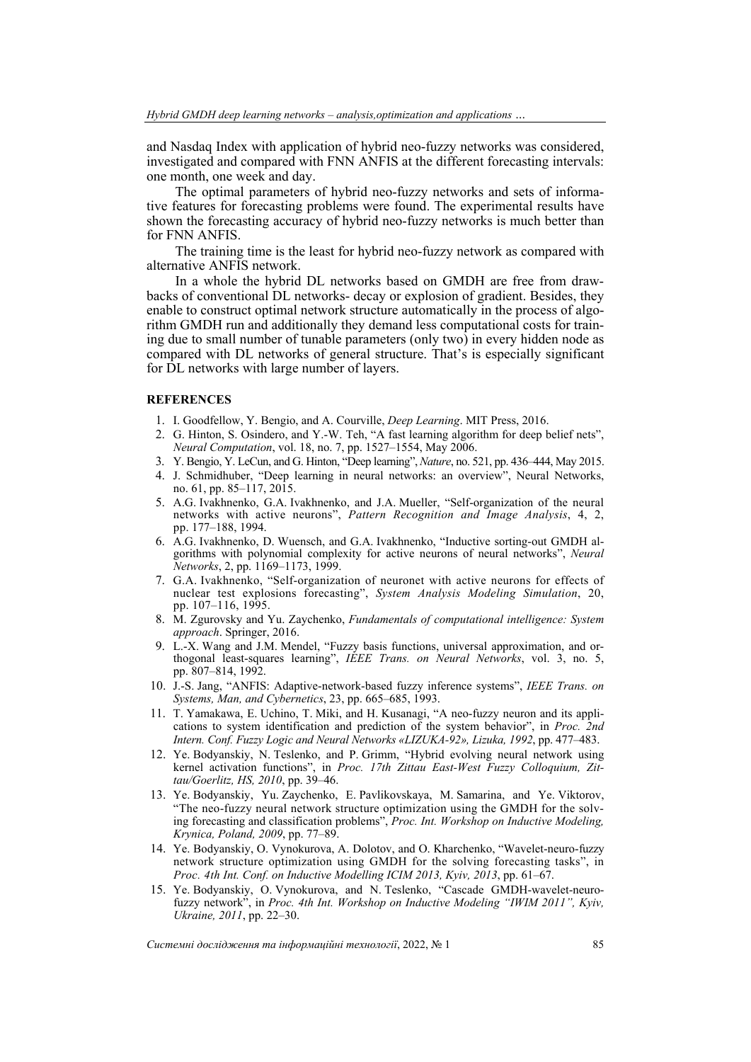and Nasdaq Index with application of hybrid neo-fuzzy networks was considered, investigated and compared with FNN ANFIS at the different forecasting intervals: one month, one week and day.

The optimal parameters of hybrid neo-fuzzy networks and sets of informative features for forecasting problems were found. The experimental results have shown the forecasting accuracy of hybrid neo-fuzzy networks is much better than for FNN ANFIS.

The training time is the least for hybrid neo-fuzzy network as compared with alternative ANFIS network.

In a whole the hybrid DL networks based on GMDH are free from drawbacks of conventional DL networks- decay or explosion of gradient. Besides, they enable to construct optimal network structure automatically in the process of algorithm GMDH run and additionally they demand less computational costs for training due to small number of tunable parameters (only two) in every hidden node as compared with DL networks of general structure. That's is especially significant for DL networks with large number of layers.

#### **REFERENCES**

- 1. I. Goodfellow, Y. Bengio, and A. Courville, *Deep Learning*. MIT Press, 2016.
- 2. G. Hinton, S. Osindero, and Y.-W. Teh, "A fast learning algorithm for deep belief nets", *Neural Computation*, vol. 18, no. 7, pp. 1527–1554, May 2006.
- 3. Y. Bengio, Y. LeCun, and G. Hinton, "Deep learning", *Nature*, no. 521, pp. 436–444, May 2015.
- 4. J. Schmidhuber, "Deep learning in neural networks: an overview", Neural Networks, no. 61, pp. 85–117, 2015.
- 5. A.G. Ivakhnenko, G.A. Ivakhnenko, and J.A. Mueller, "Self-organization of the neural networks with active neurons", *Pattern Recognition and Image Analysis*, 4, 2, pp. 177–188, 1994.
- 6. A.G. Ivakhnenko, D. Wuensch, and G.A. Ivakhnenko, "Inductive sorting-out GMDH algorithms with polynomial complexity for active neurons of neural networks", *Neural Networks*, 2, pp. 1169–1173, 1999.
- 7. G.A. Ivakhnenko, "Self-organization of neuronet with active neurons for effects of nuclear test explosions forecasting", *System Analysis Modeling Simulation*, 20, pp. 107–116, 1995.
- 8. M. Zgurovsky and Yu. Zaychenko, *Fundamentals of computational intelligence: System approach*. Springer, 2016.
- 9. L.-X. Wang and J.M. Mendel, "Fuzzy basis functions, universal approximation, and orthogonal least-squares learning", *IEEE Trans. on Neural Networks*, vol. 3, no. 5, pp. 807–814, 1992.
- 10. J.-S. Jang, "ANFIS: Adaptive-network-based fuzzy inference systems", *IEEE Trans. on Systems, Man, and Cybernetics*, 23, pp. 665–685, 1993.
- 11. T. Yamakawa, E. Uchino, T. Miki, and H. Kusanagi, "A neo-fuzzy neuron and its applications to system identification and prediction of the system behavior", in *Proc. 2nd Intеrn. Conf. Fuzzy Logic and Neural Networks «LIZUKA-92», Lizuka, 1992*, pp. 477–483.
- 12. Ye. Bodyanskiy, N. Teslenko, and P. Grimm, "Hybrid evolving neural network using kernel activation functions", in *Proc. 17th Zittau East-West Fuzzy Colloquium, Zittau/Goerlitz, HS, 2010*, pp. 39–46.
- 13. Ye. Bodyanskiy, Yu. Zaychenko, E. Pavlikovskaya, M. Samarina, and Ye. Viktorov, "The neo-fuzzy neural network structure optimization using the GMDH for the solving forecasting and classification problems", *Proc. Int. Workshop on Inductive Modeling, Krynica, Poland, 2009*, pp. 77–89.
- 14. Ye. Bodyanskiy, O. Vynokurova, A. Dolotov, and O. Kharchenko, "Wavelet-neuro-fuzzy network structure optimization using GMDH for the solving forecasting tasks", in *Proc. 4th Int. Conf. on Inductive Modelling ICIM 2013, Kyiv, 2013*, pp. 61–67.
- 15. Ye. Bodyanskiy, O. Vynokurova, and N. Teslenko, "Cascade GMDH-wavelet-neurofuzzy network", in *Proc. 4th Int. Workshop on Inductive Modeling "IWIM 2011", Kyiv, Ukraine, 2011*, pp. 22–30.

*Системні дослідження та інформаційні технології*, 2022, № 1 85